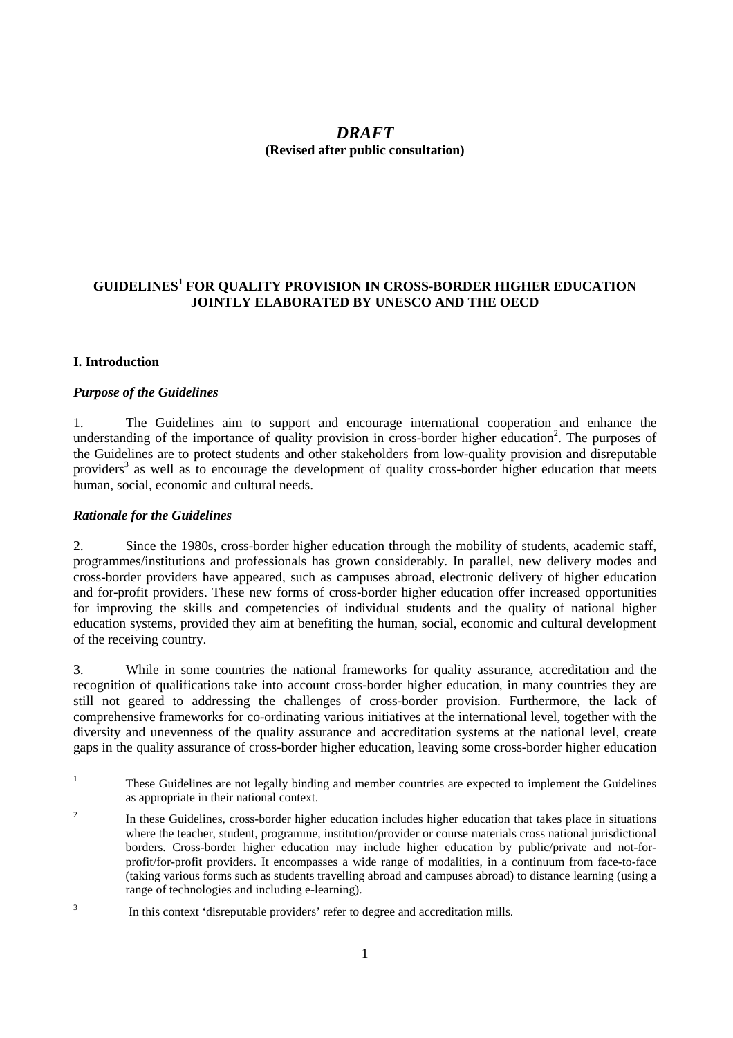# *DRAFT*  **(Revised after public consultation)**

## **GUIDELINES<sup>1</sup> FOR QUALITY PROVISION IN CROSS-BORDER HIGHER EDUCATION JOINTLY ELABORATED BY UNESCO AND THE OECD**

## **I. Introduction**

#### *Purpose of the Guidelines*

1. The Guidelines aim to support and encourage international cooperation and enhance the understanding of the importance of quality provision in cross-border higher education<sup>2</sup>. The purposes of the Guidelines are to protect students and other stakeholders from low-quality provision and disreputable providers<sup>3</sup> as well as to encourage the development of quality cross-border higher education that meets human, social, economic and cultural needs.

#### *Rationale for the Guidelines*

2. Since the 1980s, cross-border higher education through the mobility of students, academic staff, programmes/institutions and professionals has grown considerably. In parallel, new delivery modes and cross-border providers have appeared, such as campuses abroad, electronic delivery of higher education and for-profit providers. These new forms of cross-border higher education offer increased opportunities for improving the skills and competencies of individual students and the quality of national higher education systems, provided they aim at benefiting the human, social, economic and cultural development of the receiving country.

3. While in some countries the national frameworks for quality assurance, accreditation and the recognition of qualifications take into account cross-border higher education, in many countries they are still not geared to addressing the challenges of cross-border provision. Furthermore, the lack of comprehensive frameworks for co-ordinating various initiatives at the international level, together with the diversity and unevenness of the quality assurance and accreditation systems at the national level, create gaps in the quality assurance of cross-border higher education, leaving some cross-border higher education

 $\mathbf{1}$ 1 These Guidelines are not legally binding and member countries are expected to implement the Guidelines as appropriate in their national context.

<sup>2</sup> In these Guidelines, cross-border higher education includes higher education that takes place in situations where the teacher, student, programme, institution/provider or course materials cross national jurisdictional borders. Cross-border higher education may include higher education by public/private and not-forprofit/for-profit providers. It encompasses a wide range of modalities, in a continuum from face-to-face (taking various forms such as students travelling abroad and campuses abroad) to distance learning (using a range of technologies and including e-learning).

<sup>3</sup> In this context 'disreputable providers' refer to degree and accreditation mills.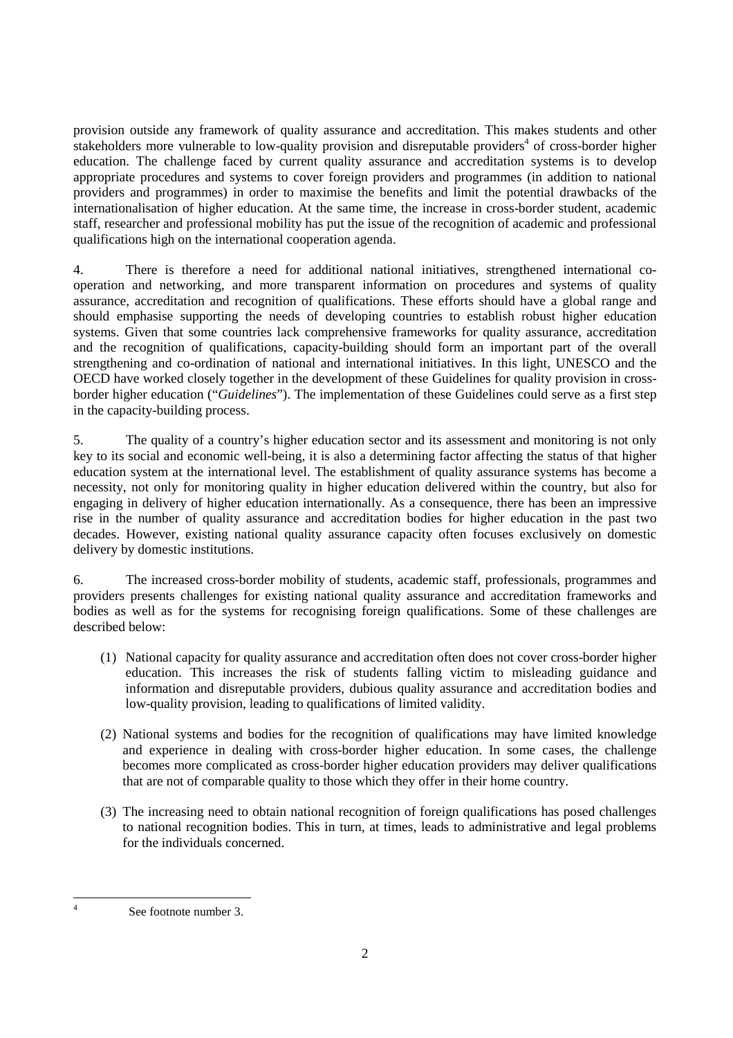provision outside any framework of quality assurance and accreditation. This makes students and other stakeholders more vulnerable to low-quality provision and disreputable providers<sup>4</sup> of cross-border higher education. The challenge faced by current quality assurance and accreditation systems is to develop appropriate procedures and systems to cover foreign providers and programmes (in addition to national providers and programmes) in order to maximise the benefits and limit the potential drawbacks of the internationalisation of higher education. At the same time, the increase in cross-border student, academic staff, researcher and professional mobility has put the issue of the recognition of academic and professional qualifications high on the international cooperation agenda.

4. There is therefore a need for additional national initiatives, strengthened international cooperation and networking, and more transparent information on procedures and systems of quality assurance, accreditation and recognition of qualifications. These efforts should have a global range and should emphasise supporting the needs of developing countries to establish robust higher education systems. Given that some countries lack comprehensive frameworks for quality assurance, accreditation and the recognition of qualifications, capacity-building should form an important part of the overall strengthening and co-ordination of national and international initiatives. In this light, UNESCO and the OECD have worked closely together in the development of these Guidelines for quality provision in crossborder higher education ("*Guidelines*"). The implementation of these Guidelines could serve as a first step in the capacity-building process.

5. The quality of a country's higher education sector and its assessment and monitoring is not only key to its social and economic well-being, it is also a determining factor affecting the status of that higher education system at the international level. The establishment of quality assurance systems has become a necessity, not only for monitoring quality in higher education delivered within the country, but also for engaging in delivery of higher education internationally. As a consequence, there has been an impressive rise in the number of quality assurance and accreditation bodies for higher education in the past two decades. However, existing national quality assurance capacity often focuses exclusively on domestic delivery by domestic institutions.

6. The increased cross-border mobility of students, academic staff, professionals, programmes and providers presents challenges for existing national quality assurance and accreditation frameworks and bodies as well as for the systems for recognising foreign qualifications. Some of these challenges are described below:

- (1) National capacity for quality assurance and accreditation often does not cover cross-border higher education. This increases the risk of students falling victim to misleading guidance and information and disreputable providers, dubious quality assurance and accreditation bodies and low-quality provision, leading to qualifications of limited validity.
- (2) National systems and bodies for the recognition of qualifications may have limited knowledge and experience in dealing with cross-border higher education. In some cases, the challenge becomes more complicated as cross-border higher education providers may deliver qualifications that are not of comparable quality to those which they offer in their home country.
- (3) The increasing need to obtain national recognition of foreign qualifications has posed challenges to national recognition bodies. This in turn, at times, leads to administrative and legal problems for the individuals concerned.

 $\frac{1}{4}$ 

See footnote number 3.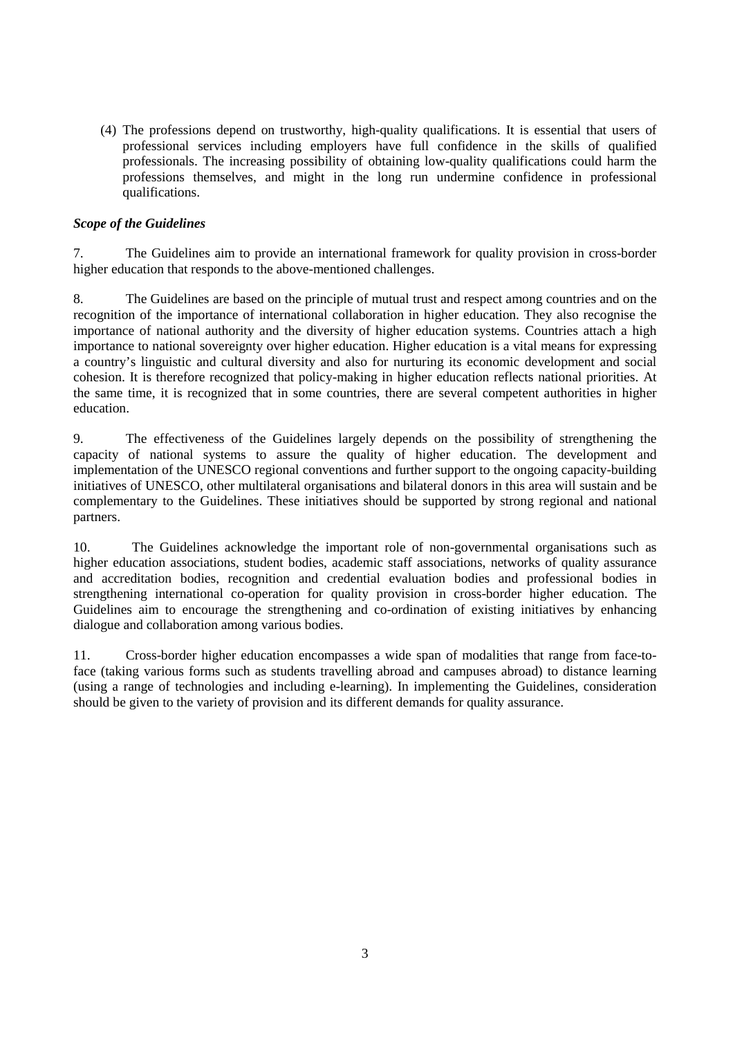(4) The professions depend on trustworthy, high-quality qualifications. It is essential that users of professional services including employers have full confidence in the skills of qualified professionals. The increasing possibility of obtaining low-quality qualifications could harm the professions themselves, and might in the long run undermine confidence in professional qualifications.

## *Scope of the Guidelines*

7. The Guidelines aim to provide an international framework for quality provision in cross-border higher education that responds to the above-mentioned challenges.

8. The Guidelines are based on the principle of mutual trust and respect among countries and on the recognition of the importance of international collaboration in higher education. They also recognise the importance of national authority and the diversity of higher education systems. Countries attach a high importance to national sovereignty over higher education. Higher education is a vital means for expressing a country's linguistic and cultural diversity and also for nurturing its economic development and social cohesion. It is therefore recognized that policy-making in higher education reflects national priorities. At the same time, it is recognized that in some countries, there are several competent authorities in higher education.

9. The effectiveness of the Guidelines largely depends on the possibility of strengthening the capacity of national systems to assure the quality of higher education. The development and implementation of the UNESCO regional conventions and further support to the ongoing capacity-building initiatives of UNESCO, other multilateral organisations and bilateral donors in this area will sustain and be complementary to the Guidelines. These initiatives should be supported by strong regional and national partners.

10. The Guidelines acknowledge the important role of non-governmental organisations such as higher education associations, student bodies, academic staff associations, networks of quality assurance and accreditation bodies, recognition and credential evaluation bodies and professional bodies in strengthening international co-operation for quality provision in cross-border higher education. The Guidelines aim to encourage the strengthening and co-ordination of existing initiatives by enhancing dialogue and collaboration among various bodies.

11. Cross-border higher education encompasses a wide span of modalities that range from face-toface (taking various forms such as students travelling abroad and campuses abroad) to distance learning (using a range of technologies and including e-learning). In implementing the Guidelines, consideration should be given to the variety of provision and its different demands for quality assurance.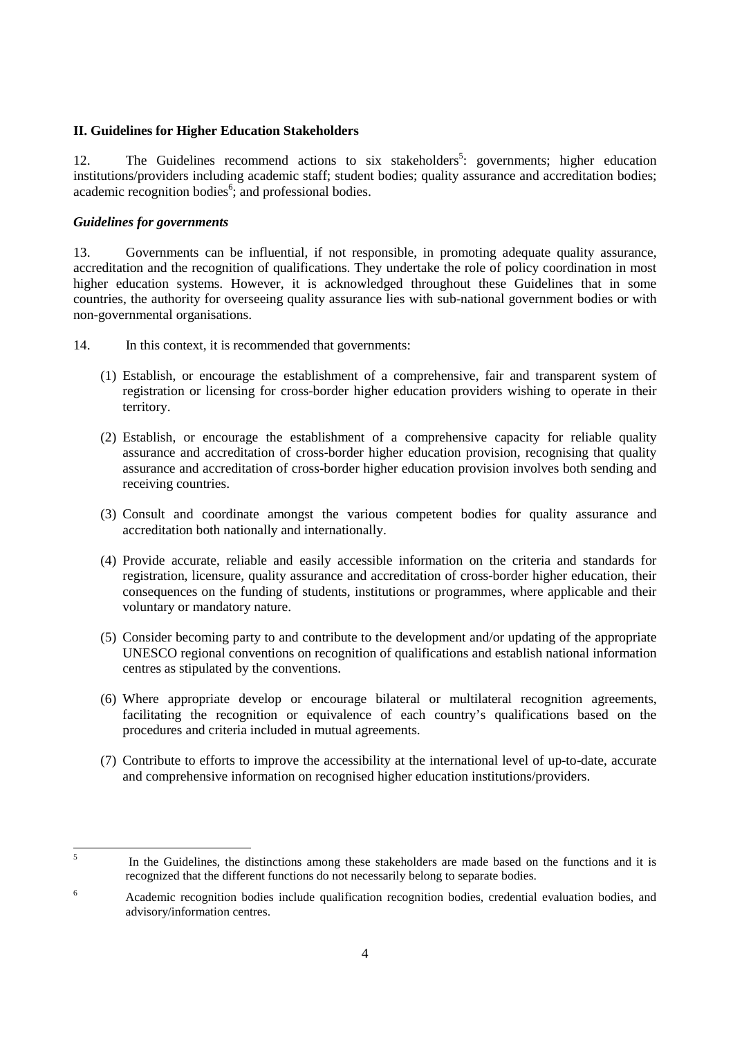## **II. Guidelines for Higher Education Stakeholders**

12. The Guidelines recommend actions to six stakeholders<sup>5</sup>: governments; higher education institutions/providers including academic staff; student bodies; quality assurance and accreditation bodies; academic recognition bodies<sup>6</sup>; and professional bodies.

#### *Guidelines for governments*

13. Governments can be influential, if not responsible, in promoting adequate quality assurance, accreditation and the recognition of qualifications. They undertake the role of policy coordination in most higher education systems. However, it is acknowledged throughout these Guidelines that in some countries, the authority for overseeing quality assurance lies with sub-national government bodies or with non-governmental organisations.

- 14. In this context, it is recommended that governments:
	- (1) Establish, or encourage the establishment of a comprehensive, fair and transparent system of registration or licensing for cross-border higher education providers wishing to operate in their territory.
	- (2) Establish, or encourage the establishment of a comprehensive capacity for reliable quality assurance and accreditation of cross-border higher education provision, recognising that quality assurance and accreditation of cross-border higher education provision involves both sending and receiving countries.
	- (3) Consult and coordinate amongst the various competent bodies for quality assurance and accreditation both nationally and internationally.
	- (4) Provide accurate, reliable and easily accessible information on the criteria and standards for registration, licensure, quality assurance and accreditation of cross-border higher education, their consequences on the funding of students, institutions or programmes, where applicable and their voluntary or mandatory nature.
	- (5) Consider becoming party to and contribute to the development and/or updating of the appropriate UNESCO regional conventions on recognition of qualifications and establish national information centres as stipulated by the conventions.
	- (6) Where appropriate develop or encourage bilateral or multilateral recognition agreements, facilitating the recognition or equivalence of each country's qualifications based on the procedures and criteria included in mutual agreements.
	- (7) Contribute to efforts to improve the accessibility at the international level of up-to-date, accurate and comprehensive information on recognised higher education institutions/providers.

 5

In the Guidelines, the distinctions among these stakeholders are made based on the functions and it is recognized that the different functions do not necessarily belong to separate bodies.

<sup>6</sup> Academic recognition bodies include qualification recognition bodies, credential evaluation bodies, and advisory/information centres.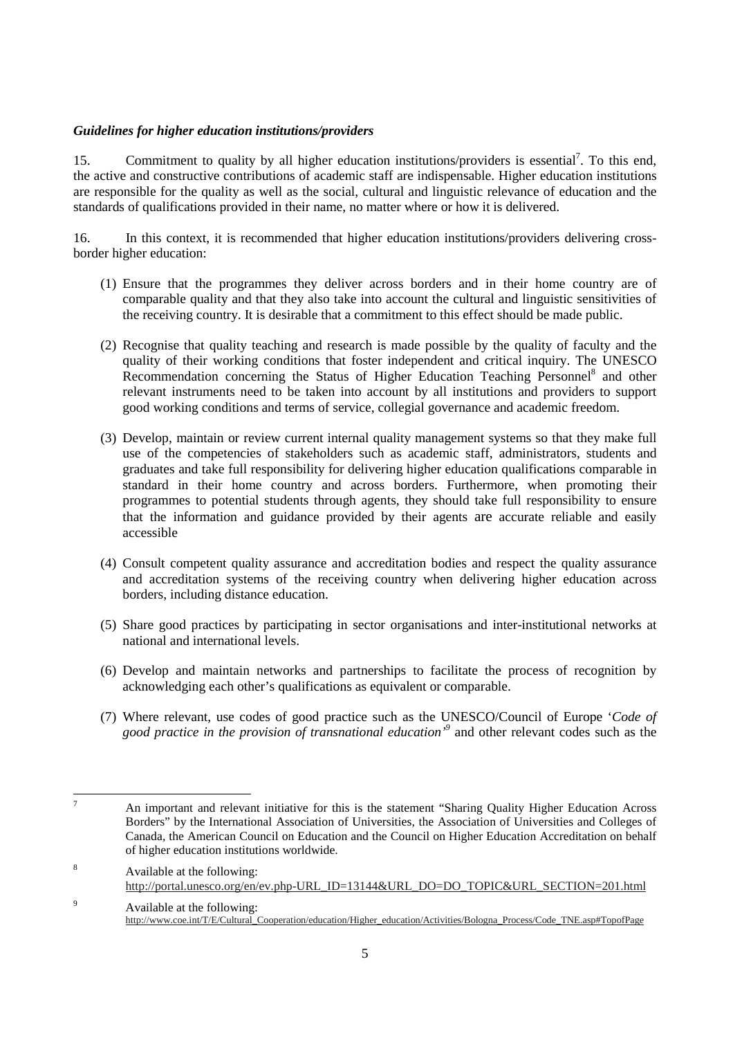## *Guidelines for higher education institutions/providers*

15. Commitment to quality by all higher education institutions/providers is essential<sup>7</sup>. To this end, the active and constructive contributions of academic staff are indispensable. Higher education institutions are responsible for the quality as well as the social, cultural and linguistic relevance of education and the standards of qualifications provided in their name, no matter where or how it is delivered.

16. In this context, it is recommended that higher education institutions/providers delivering crossborder higher education:

- (1) Ensure that the programmes they deliver across borders and in their home country are of comparable quality and that they also take into account the cultural and linguistic sensitivities of the receiving country. It is desirable that a commitment to this effect should be made public.
- (2) Recognise that quality teaching and research is made possible by the quality of faculty and the quality of their working conditions that foster independent and critical inquiry. The UNESCO Recommendation concerning the Status of Higher Education Teaching Personnel<sup>8</sup> and other relevant instruments need to be taken into account by all institutions and providers to support good working conditions and terms of service, collegial governance and academic freedom.
- (3) Develop, maintain or review current internal quality management systems so that they make full use of the competencies of stakeholders such as academic staff, administrators, students and graduates and take full responsibility for delivering higher education qualifications comparable in standard in their home country and across borders. Furthermore, when promoting their programmes to potential students through agents, they should take full responsibility to ensure that the information and guidance provided by their agents are accurate reliable and easily accessible
- (4) Consult competent quality assurance and accreditation bodies and respect the quality assurance and accreditation systems of the receiving country when delivering higher education across borders, including distance education.
- (5) Share good practices by participating in sector organisations and inter-institutional networks at national and international levels.
- (6) Develop and maintain networks and partnerships to facilitate the process of recognition by acknowledging each other's qualifications as equivalent or comparable.
- (7) Where relevant, use codes of good practice such as the UNESCO/Council of Europe '*Code of good practice in the provision of transnational education'9* and other relevant codes such as the

<sup>-&</sup>lt;br>7 An important and relevant initiative for this is the statement "Sharing Quality Higher Education Across Borders" by the International Association of Universities, the Association of Universities and Colleges of Canada, the American Council on Education and the Council on Higher Education Accreditation on behalf of higher education institutions worldwide.

<sup>8</sup> Available at the following: http://portal.unesco.org/en/ev.php-URL\_ID=13144&URL\_DO=DO\_TOPIC&URL\_SECTION=201.html

 $\alpha$  Available at the following: http://www.coe.int/T/E/Cultural\_Cooperation/education/Higher\_education/Activities/Bologna\_Process/Code\_TNE.asp#TopofPage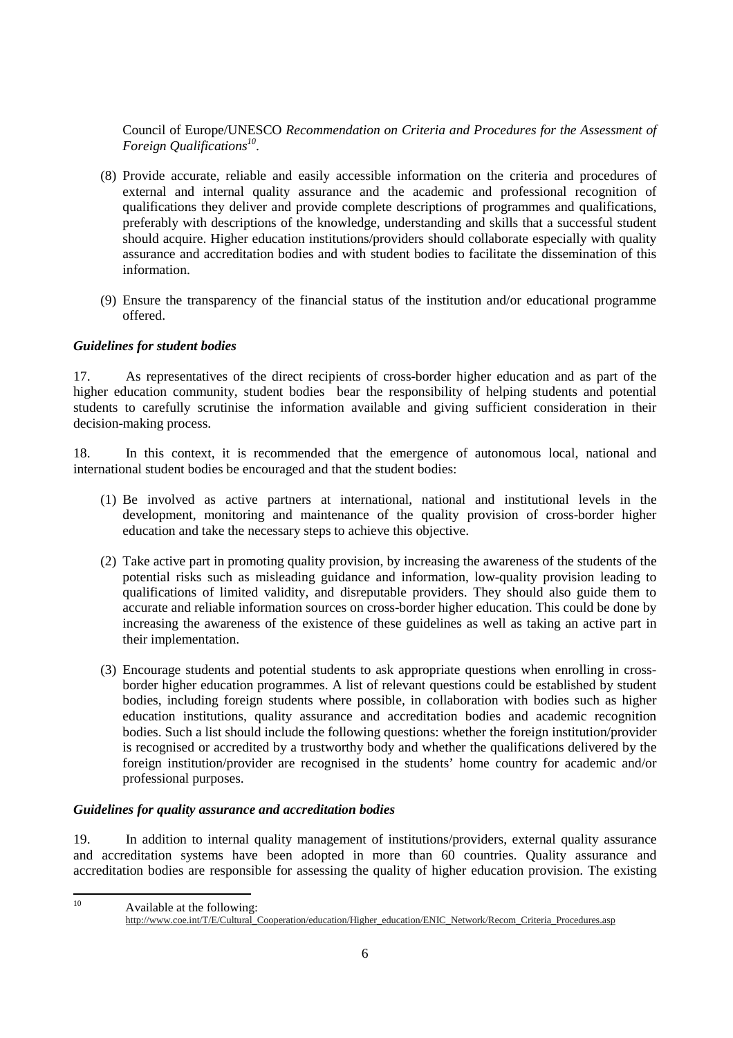Council of Europe/UNESCO *Recommendation on Criteria and Procedures for the Assessment of Foreign Qualifications10*.

- (8) Provide accurate, reliable and easily accessible information on the criteria and procedures of external and internal quality assurance and the academic and professional recognition of qualifications they deliver and provide complete descriptions of programmes and qualifications, preferably with descriptions of the knowledge, understanding and skills that a successful student should acquire. Higher education institutions/providers should collaborate especially with quality assurance and accreditation bodies and with student bodies to facilitate the dissemination of this information.
- (9) Ensure the transparency of the financial status of the institution and/or educational programme offered.

## *Guidelines for student bodies*

17. As representatives of the direct recipients of cross-border higher education and as part of the higher education community, student bodies bear the responsibility of helping students and potential students to carefully scrutinise the information available and giving sufficient consideration in their decision-making process.

18. In this context, it is recommended that the emergence of autonomous local, national and international student bodies be encouraged and that the student bodies:

- (1) Be involved as active partners at international, national and institutional levels in the development, monitoring and maintenance of the quality provision of cross-border higher education and take the necessary steps to achieve this objective.
- (2) Take active part in promoting quality provision, by increasing the awareness of the students of the potential risks such as misleading guidance and information, low-quality provision leading to qualifications of limited validity, and disreputable providers. They should also guide them to accurate and reliable information sources on cross-border higher education. This could be done by increasing the awareness of the existence of these guidelines as well as taking an active part in their implementation.
- (3) Encourage students and potential students to ask appropriate questions when enrolling in crossborder higher education programmes. A list of relevant questions could be established by student bodies, including foreign students where possible, in collaboration with bodies such as higher education institutions, quality assurance and accreditation bodies and academic recognition bodies. Such a list should include the following questions: whether the foreign institution/provider is recognised or accredited by a trustworthy body and whether the qualifications delivered by the foreign institution/provider are recognised in the students' home country for academic and/or professional purposes.

## *Guidelines for quality assurance and accreditation bodies*

Available at the following:

19. In addition to internal quality management of institutions/providers, external quality assurance and accreditation systems have been adopted in more than 60 countries. Quality assurance and accreditation bodies are responsible for assessing the quality of higher education provision. The existing

 $10<sup>1</sup>$ 

http://www.coe.int/T/E/Cultural\_Cooperation/education/Higher\_education/ENIC\_Network/Recom\_Criteria\_Procedures.asp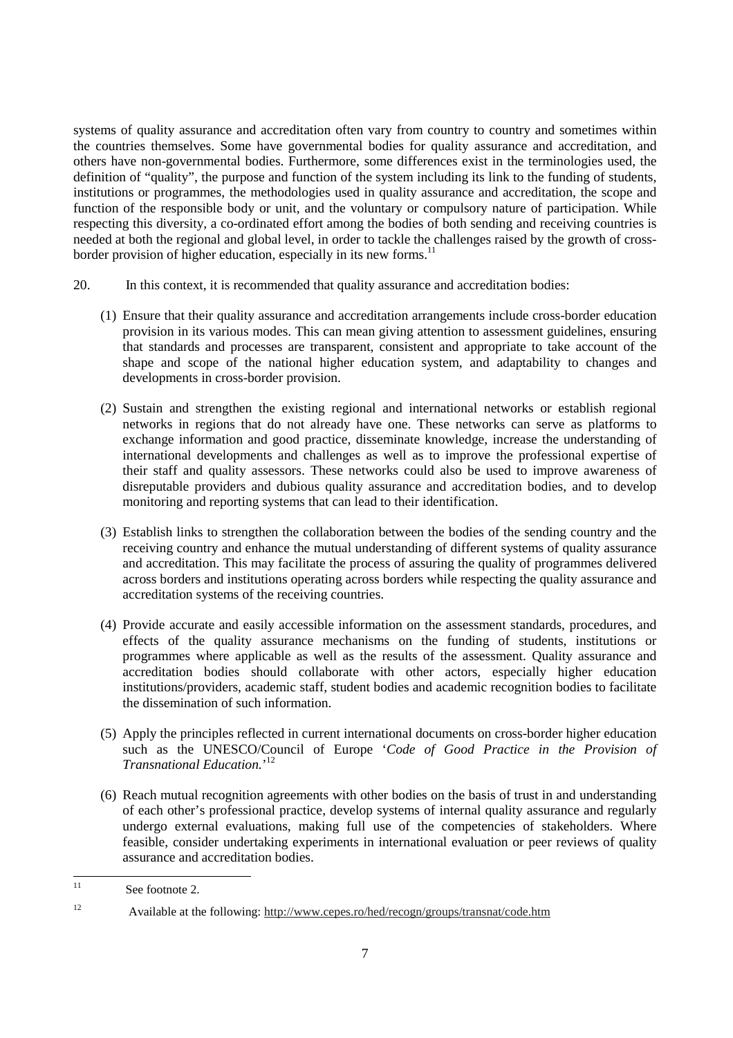systems of quality assurance and accreditation often vary from country to country and sometimes within the countries themselves. Some have governmental bodies for quality assurance and accreditation, and others have non-governmental bodies. Furthermore, some differences exist in the terminologies used, the definition of "quality", the purpose and function of the system including its link to the funding of students, institutions or programmes, the methodologies used in quality assurance and accreditation, the scope and function of the responsible body or unit, and the voluntary or compulsory nature of participation. While respecting this diversity, a co-ordinated effort among the bodies of both sending and receiving countries is needed at both the regional and global level, in order to tackle the challenges raised by the growth of crossborder provision of higher education, especially in its new forms.<sup>11</sup>

- 20. In this context, it is recommended that quality assurance and accreditation bodies:
	- (1) Ensure that their quality assurance and accreditation arrangements include cross-border education provision in its various modes. This can mean giving attention to assessment guidelines, ensuring that standards and processes are transparent, consistent and appropriate to take account of the shape and scope of the national higher education system, and adaptability to changes and developments in cross-border provision.
	- (2) Sustain and strengthen the existing regional and international networks or establish regional networks in regions that do not already have one. These networks can serve as platforms to exchange information and good practice, disseminate knowledge, increase the understanding of international developments and challenges as well as to improve the professional expertise of their staff and quality assessors. These networks could also be used to improve awareness of disreputable providers and dubious quality assurance and accreditation bodies, and to develop monitoring and reporting systems that can lead to their identification.
	- (3) Establish links to strengthen the collaboration between the bodies of the sending country and the receiving country and enhance the mutual understanding of different systems of quality assurance and accreditation. This may facilitate the process of assuring the quality of programmes delivered across borders and institutions operating across borders while respecting the quality assurance and accreditation systems of the receiving countries.
	- (4) Provide accurate and easily accessible information on the assessment standards, procedures, and effects of the quality assurance mechanisms on the funding of students, institutions or programmes where applicable as well as the results of the assessment. Quality assurance and accreditation bodies should collaborate with other actors, especially higher education institutions/providers, academic staff, student bodies and academic recognition bodies to facilitate the dissemination of such information.
	- (5) Apply the principles reflected in current international documents on cross-border higher education such as the UNESCO/Council of Europe '*Code of Good Practice in the Provision of Transnational Education.*' 12
	- (6) Reach mutual recognition agreements with other bodies on the basis of trust in and understanding of each other's professional practice, develop systems of internal quality assurance and regularly undergo external evaluations, making full use of the competencies of stakeholders. Where feasible, consider undertaking experiments in international evaluation or peer reviews of quality assurance and accreditation bodies.

 $11$ See footnote 2.

<sup>12</sup> Available at the following: http://www.cepes.ro/hed/recogn/groups/transnat/code.htm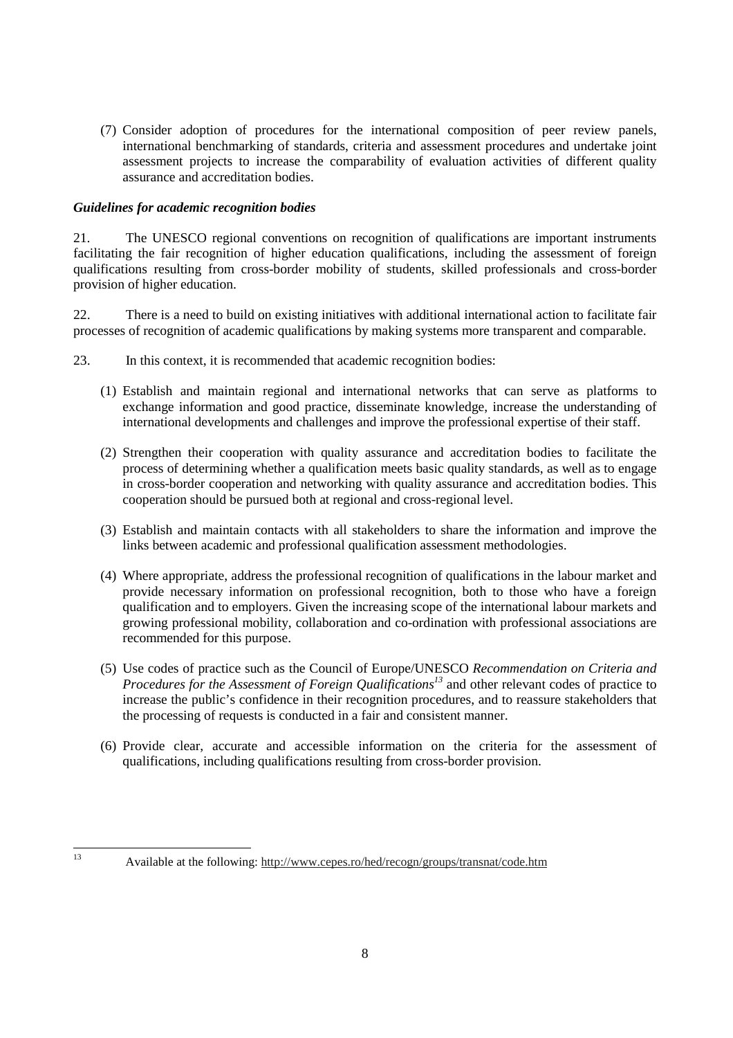(7) Consider adoption of procedures for the international composition of peer review panels, international benchmarking of standards, criteria and assessment procedures and undertake joint assessment projects to increase the comparability of evaluation activities of different quality assurance and accreditation bodies.

## *Guidelines for academic recognition bodies*

21. The UNESCO regional conventions on recognition of qualifications are important instruments facilitating the fair recognition of higher education qualifications, including the assessment of foreign qualifications resulting from cross-border mobility of students, skilled professionals and cross-border provision of higher education.

22. There is a need to build on existing initiatives with additional international action to facilitate fair processes of recognition of academic qualifications by making systems more transparent and comparable.

- 23. In this context, it is recommended that academic recognition bodies:
	- (1) Establish and maintain regional and international networks that can serve as platforms to exchange information and good practice, disseminate knowledge, increase the understanding of international developments and challenges and improve the professional expertise of their staff.
	- (2) Strengthen their cooperation with quality assurance and accreditation bodies to facilitate the process of determining whether a qualification meets basic quality standards, as well as to engage in cross-border cooperation and networking with quality assurance and accreditation bodies. This cooperation should be pursued both at regional and cross-regional level.
	- (3) Establish and maintain contacts with all stakeholders to share the information and improve the links between academic and professional qualification assessment methodologies.
	- (4) Where appropriate, address the professional recognition of qualifications in the labour market and provide necessary information on professional recognition, both to those who have a foreign qualification and to employers. Given the increasing scope of the international labour markets and growing professional mobility, collaboration and co-ordination with professional associations are recommended for this purpose.
	- (5) Use codes of practice such as the Council of Europe/UNESCO *Recommendation on Criteria and Procedures for the Assessment of Foreign Qualifications<sup>13</sup>* and other relevant codes of practice to increase the public's confidence in their recognition procedures, and to reassure stakeholders that the processing of requests is conducted in a fair and consistent manner.
	- (6) Provide clear, accurate and accessible information on the criteria for the assessment of qualifications, including qualifications resulting from cross-border provision.

 $13$ 

<sup>13</sup> Available at the following: http://www.cepes.ro/hed/recogn/groups/transnat/code.htm